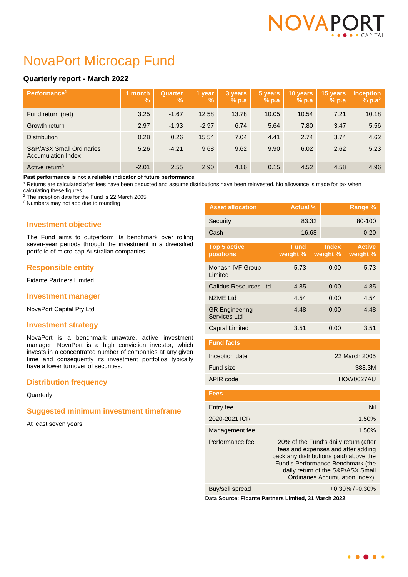

# NovaPort Microcap Fund

## **Quarterly report - March 2022**

| Performance <sup>1</sup>                                         | month<br>$\frac{9}{6}$ | <b>Quarter</b><br>$\mathbf{V}_{\mathbf{0}}$ | 1 year<br>$\mathcal{A}$ | 3 years<br>$%$ p.a | 5 years<br>% p.a | 10 years<br>$%$ p.a | 15 years<br>$%$ p.a | <b>Inception</b><br>$% p.a^2$ |
|------------------------------------------------------------------|------------------------|---------------------------------------------|-------------------------|--------------------|------------------|---------------------|---------------------|-------------------------------|
| Fund return (net)                                                | 3.25                   | $-1.67$                                     | 12.58                   | 13.78              | 10.05            | 10.54               | 7.21                | 10.18                         |
| Growth return                                                    | 2.97                   | $-1.93$                                     | $-2.97$                 | 6.74               | 5.64             | 7.80                | 3.47                | 5.56                          |
| <b>Distribution</b>                                              | 0.28                   | 0.26                                        | 15.54                   | 7.04               | 4.41             | 2.74                | 3.74                | 4.62                          |
| <b>S&amp;P/ASX Small Ordinaries</b><br><b>Accumulation Index</b> | 5.26                   | $-4.21$                                     | 9.68                    | 9.62               | 9.90             | 6.02                | 2.62                | 5.23                          |
| Active return <sup>3</sup>                                       | $-2.01$                | 2.55                                        | 2.90                    | 4.16               | 0.15             | 4.52                | 4.58                | 4.96                          |

**Past performance is not a reliable indicator of future performance.**

<sup>1</sup> Returns are calculated after fees have been deducted and assume distributions have been reinvested. No allowance is made for tax when

calculating these figures.

<sup>2</sup> The inception date for the Fund is 22 March 2005

<sup>3</sup> Numbers may not add due to rounding

## **Investment objective**

The Fund aims to outperform its benchmark over rolling seven-year periods through the investment in a diversified portfolio of micro-cap Australian companies.

## **Responsible entity**

Fidante Partners Limited

## **Investment manager**

NovaPort Capital Pty Ltd

## **Investment strategy**

NovaPort is a benchmark unaware, active investment manager. NovaPort is a high conviction investor, which invests in a concentrated number of companies at any given time and consequently its investment portfolios typically have a lower turnover of securities.

## **Distribution frequency**

**Quarterly** 

## **Suggested minimum investment timeframe**

At least seven years

| <b>Asset allocation</b>               |         | <b>Actual %</b>         |       |                          | Range %                   |  |
|---------------------------------------|---------|-------------------------|-------|--------------------------|---------------------------|--|
| Security                              |         | 83.32                   |       |                          | 80-100                    |  |
| Cash                                  |         | 16.68                   |       |                          | $0 - 20$                  |  |
| <b>Top 5 active</b><br>positions      |         | <b>Fund</b><br>weight % |       | <b>Index</b><br>weight % | <b>Active</b><br>weight % |  |
| Monash IVF Group<br>Limited           |         | 5.73                    |       | 0.00                     | 5.73                      |  |
| Calidus Resources Ltd                 |         | 4.85                    | 0.00  |                          | 4.85                      |  |
| <b>NZME Ltd</b>                       |         | 4.54                    |       | 0.00                     | 4.54                      |  |
| <b>GR Engineering</b><br>Services Ltd |         | 4.48                    | 0.00  |                          | 4.48                      |  |
| <b>Capral Limited</b>                 |         | 3.51                    | 0.00  |                          | 3.51                      |  |
| <b>Fund facts</b>                     |         |                         |       |                          |                           |  |
| Inception date                        |         | 22 March 2005           |       |                          |                           |  |
| Fund size                             | \$88.3M |                         |       |                          |                           |  |
| APIR code                             |         |                         |       |                          | HOW0027AU                 |  |
| <b>Fees</b>                           |         |                         |       |                          |                           |  |
| Entry fee                             |         |                         |       |                          | Nil                       |  |
| 2020-2021 ICR                         |         |                         | 1.50% |                          |                           |  |

Buy/sell spread  $+0.30\%$  / -0.30%

Management fee 1.50% Performance fee 20% of the Fund's daily return (after

> fees and expenses and after adding back any distributions paid) above the Fund's Performance Benchmark (the daily return of the S&P/ASX Small Ordinaries Accumulation Index).

**Data Source: Fidante Partners Limited, 31 March 2022.**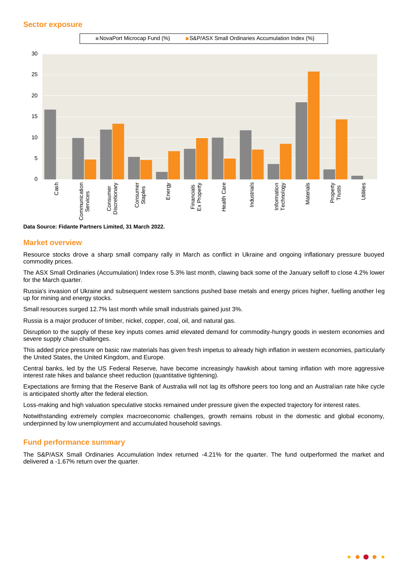

**Data Source: Fidante Partners Limited, 31 March 2022.**

## **Market overview**

Resource stocks drove a sharp small company rally in March as conflict in Ukraine and ongoing inflationary pressure buoyed commodity prices.

The ASX Small Ordinaries (Accumulation) Index rose 5.3% last month, clawing back some of the January selloff to close 4.2% lower for the March quarter.

Russia's invasion of Ukraine and subsequent western sanctions pushed base metals and energy prices higher, fuelling another leg up for mining and energy stocks.

Small resources surged 12.7% last month while small industrials gained just 3%.

Russia is a major producer of timber, nickel, copper, coal, oil, and natural gas.

Disruption to the supply of these key inputs comes amid elevated demand for commodity-hungry goods in western economies and severe supply chain challenges.

This added price pressure on basic raw materials has given fresh impetus to already high inflation in western economies, particularly the United States, the United Kingdom, and Europe.

Central banks, led by the US Federal Reserve, have become increasingly hawkish about taming inflation with more aggressive interest rate hikes and balance sheet reduction (quantitative tightening).

Expectations are firming that the Reserve Bank of Australia will not lag its offshore peers too long and an Australian rate hike cycle is anticipated shortly after the federal election.

Loss-making and high valuation speculative stocks remained under pressure given the expected trajectory for interest rates.

Notwithstanding extremely complex macroeconomic challenges, growth remains robust in the domestic and global economy, underpinned by low unemployment and accumulated household savings.

## **Fund performance summary**

The S&P/ASX Small Ordinaries Accumulation Index returned -4.21% for the quarter. The fund outperformed the market and delivered a -1.67% return over the quarter.